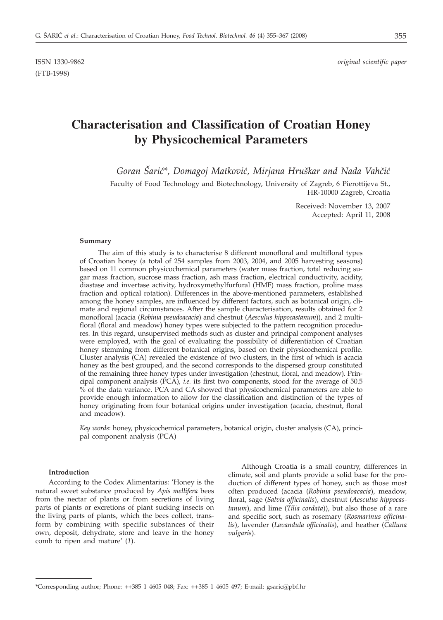(FTB-1998)

ISSN 1330-9862 *original scientific paper*

# **Characterisation and Classification of Croatian Honey by Physicochemical Parameters**

Goran Šarić\*, Domagoj Matković, Mirjana Hruškar and Nada Vahčić

Faculty of Food Technology and Biotechnology, University of Zagreb, 6 Pierottijeva St., HR-10000 Zagreb, Croatia

> Received: November 13, 2007 Accepted: April 11, 2008

### **Summary**

The aim of this study is to characterise 8 different monofloral and multifloral types of Croatian honey (a total of 254 samples from 2003, 2004, and 2005 harvesting seasons) based on 11 common physicochemical parameters (water mass fraction, total reducing sugar mass fraction, sucrose mass fraction, ash mass fraction, electrical conductivity, acidity, diastase and invertase activity, hydroxymethylfurfural (HMF) mass fraction, proline mass fraction and optical rotation). Differences in the above-mentioned parameters, established among the honey samples, are influenced by different factors, such as botanical origin, climate and regional circumstances. After the sample characterisation, results obtained for 2 monofloral (acacia (*Robinia pseudoacacia*) and chestnut (*Aesculus hippocastanum*)), and 2 multifloral (floral and meadow) honey types were subjected to the pattern recognition procedures. In this regard, unsupervised methods such as cluster and principal component analyses were employed, with the goal of evaluating the possibility of differentiation of Croatian honey stemming from different botanical origins, based on their physicochemical profile. Cluster analysis (CA) revealed the existence of two clusters, in the first of which is acacia honey as the best grouped, and the second corresponds to the dispersed group constituted of the remaining three honey types under investigation (chestnut, floral, and meadow). Principal component analysis (PCA), *i.e.* its first two components, stood for the average of 50.5 % of the data variance. PCA and CA showed that physicochemical parameters are able to provide enough information to allow for the classification and distinction of the types of honey originating from four botanical origins under investigation (acacia, chestnut, floral and meadow).

*Key words*: honey, physicochemical parameters, botanical origin, cluster analysis (CA), principal component analysis (PCA)

#### **Introduction**

According to the Codex Alimentarius: 'Honey is the natural sweet substance produced by *Apis mellifera* bees from the nectar of plants or from secretions of living parts of plants or excretions of plant sucking insects on the living parts of plants, which the bees collect, transform by combining with specific substances of their own, deposit, dehydrate, store and leave in the honey comb to ripen and mature' (*1*).

Although Croatia is a small country, differences in climate, soil and plants provide a solid base for the production of different types of honey, such as those most often produced (acacia (*Robinia pseudoacacia*), meadow, floral, sage (*Salvia officinalis*), chestnut (*Aesculus hippocastanum*), and lime (*Tilia cordata*)), but also those of a rare and specific sort, such as rosemary (*Rosmarinus officinalis*), lavender (*Lavandula officinalis*), and heather (*Calluna vulgaris*).

<sup>\*</sup>Corresponding author; Phone:  $++385$  1 4605 048; Fax:  $++385$  1 4605 497; E-mail: gsaric@pbf.hr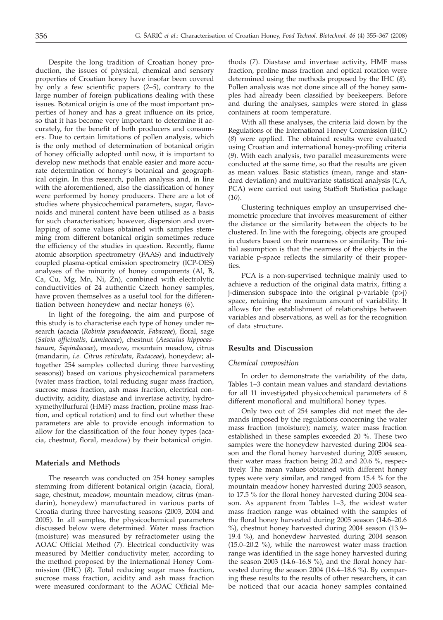Despite the long tradition of Croatian honey production, the issues of physical, chemical and sensory properties of Croatian honey have insofar been covered by only a few scientific papers (*2–5*), contrary to the large number of foreign publications dealing with these issues. Botanical origin is one of the most important properties of honey and has a great influence on its price, so that it has become very important to determine it accurately, for the benefit of both producers and consumers. Due to certain limitations of pollen analysis, which is the only method of determination of botanical origin of honey officially adopted until now, it is important to develop new methods that enable easier and more accurate determination of honey's botanical and geographical origin. In this research, pollen analysis and, in line with the aforementioned, also the classification of honey were performed by honey producers. There are a lot of studies where physicochemical parameters, sugar, flavonoids and mineral content have been utilised as a basis for such characterisation; however, dispersion and overlapping of some values obtained with samples stemming from different botanical origin sometimes reduce the efficiency of the studies in question. Recently, flame atomic absorption spectrometry (FAAS) and inductively coupled plasma-optical emission spectrometry (ICP-OES) analyses of the minority of honey components (Al, B, Ca, Cu, Mg, Mn, Ni, Zn), combined with electrolytic conductivities of 24 authentic Czech honey samples, have proven themselves as a useful tool for the differentiation between honeydew and nectar honeys (*6*).

In light of the foregoing, the aim and purpose of this study is to characterise each type of honey under research (acacia (*Robinia pseudoacacia, Fabaceae*), floral, sage (*Salvia officinalis, Lamiaceae*), chestnut (*Aesculus hippocastanum, Sapindaceae*), meadow, mountain meadow, citrus (mandarin, *i.e. Citrus reticulata*, *Rutaceae*), honeydew; altogether 254 samples collected during three harvesting seasons)) based on various physicochemical parameters (water mass fraction, total reducing sugar mass fraction, sucrose mass fraction, ash mass fraction, electrical conductivity, acidity, diastase and invertase activity, hydroxymethylfurfural (HMF) mass fraction, proline mass fraction, and optical rotation) and to find out whether these parameters are able to provide enough information to allow for the classification of the four honey types (acacia, chestnut, floral, meadow) by their botanical origin.

## **Materials and Methods**

The research was conducted on 254 honey samples stemming from different botanical origin (acacia, floral, sage, chestnut, meadow, mountain meadow, citrus (mandarin), honeydew) manufactured in various parts of Croatia during three harvesting seasons (2003, 2004 and 2005). In all samples, the physicochemical parameters discussed below were determined. Water mass fraction (moisture) was measured by refractometer using the AOAC Official Method (*7*). Electrical conductivity was measured by Mettler conductivity meter, according to the method proposed by the International Honey Commission (IHC) (*8*). Total reducing sugar mass fraction, sucrose mass fraction, acidity and ash mass fraction were measured conformant to the AOAC Official Methods (*7*). Diastase and invertase activity, HMF mass fraction, proline mass fraction and optical rotation were determined using the methods proposed by the IHC (*8*). Pollen analysis was not done since all of the honey samples had already been classified by beekeepers. Before and during the analyses, samples were stored in glass containers at room temperature.

With all these analyses, the criteria laid down by the Regulations of the International Honey Commission (IHC) (*8*) were applied. The obtained results were evaluated using Croatian and international honey-profiling criteria (*9*). With each analysis, two parallel measurements were conducted at the same time, so that the results are given as mean values. Basic statistics (mean, range and standard deviation) and multivariate statistical analysis (CA, PCA) were carried out using StatSoft Statistica package (*10*).

Clustering techniques employ an unsupervised chemometric procedure that involves measurement of either the distance or the similarity between the objects to be clustered. In line with the foregoing, objects are grouped in clusters based on their nearness or similarity. The initial assumption is that the nearness of the objects in the variable p-space reflects the similarity of their properties.

PCA is a non-supervised technique mainly used to achieve a reduction of the original data matrix, fitting a j-dimension subspace into the original p-variable (p>j) space, retaining the maximum amount of variability. It allows for the establishment of relationships between variables and observations, as well as for the recognition of data structure.

### **Results and Discussion**

# *Chemical composition*

In order to demonstrate the variability of the data, Tables 1–3 contain mean values and standard deviations for all 11 investigated physicochemical parameters of 8 different monofloral and multifloral honey types.

Only two out of 254 samples did not meet the demands imposed by the regulations concerning the water mass fraction (moisture); namely, water mass fraction established in these samples exceeded 20 %. These two samples were the honeydew harvested during 2004 season and the floral honey harvested during 2005 season, their water mass fraction being 20.2 and 20.6 %, respectively. The mean values obtained with different honey types were very similar, and ranged from 15.4 % for the mountain meadow honey harvested during 2003 season, to 17.5 % for the floral honey harvested during 2004 season. As apparent from Tables 1–3, the widest water mass fraction range was obtained with the samples of the floral honey harvested during 2005 season (14.6–20.6 %), chestnut honey harvested during 2004 season (13.9– 19.4 %), and honeydew harvested during 2004 season (15.0–20.2 %), while the narrowest water mass fraction range was identified in the sage honey harvested during the season 2003 (14.6–16.8 %), and the floral honey harvested during the season 2004 (16.4–18.6 %). By comparing these results to the results of other researchers, it can be noticed that our acacia honey samples contained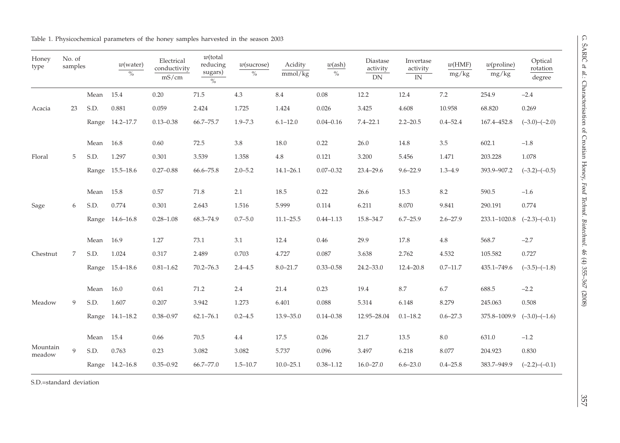| Honey<br>type             | No. of<br>samples |           | $w$ (water)<br>$\%$ | Electrical<br>conductivity<br>mS/cm | $w$ (total<br>reducing<br>sugars)<br>$\%$ | $w$ (sucrose)<br>$\%$ | Acidity<br>mmol/kg | $w(\text{ash})$<br>$\%$ | Diastase<br>activity<br>${\rm DN}$ | Invertase<br>activity<br>$\ensuremath{\text{IN}}$ | w(HMF)<br>mg/kg | $w$ (proline)<br>mg/kg             | Optical<br>rotation<br>degree |
|---------------------------|-------------------|-----------|---------------------|-------------------------------------|-------------------------------------------|-----------------------|--------------------|-------------------------|------------------------------------|---------------------------------------------------|-----------------|------------------------------------|-------------------------------|
|                           |                   | Mean      | 15.4                | 0.20                                | $71.5\,$                                  | 4.3                   | 8.4                | 0.08                    | 12.2                               | 12.4                                              | $7.2\,$         | 254.9                              | $-2.4$                        |
| Acacia                    | 23                | S.D.      | 0.881               | 0.059                               | 2.424                                     | 1.725                 | 1.424              | 0.026                   | 3.425                              | 4.608                                             | 10.958          | 68.820                             | 0.269                         |
|                           |                   |           | Range 14.2-17.7     | $0.13 - 0.38$                       | 66.7-75.7                                 | $1.9 - 7.3$           | $6.1 - 12.0$       | $0.04 - 0.16$           | $7.4 - 22.1$                       | $2.2 - 20.5$                                      | $0.4 - 52.4$    | 167.4-452.8                        | $(-3.0)-(-2.0)$               |
|                           |                   | Mean      | 16.8                | 0.60                                | 72.5                                      | $3.8\,$               | 18.0               | 0.22                    | 26.0                               | 14.8                                              | $3.5\,$         | 602.1                              | $-1.8$                        |
| Floral                    | 5                 | S.D.      | 1.297               | 0.301                               | 3.539                                     | 1.358                 | $4.8\,$            | 0.121                   | 3.200                              | 5.456                                             | 1.471           | 203.228                            | 1.078                         |
|                           |                   |           | Range 15.5-18.6     | $0.27 - 0.88$                       | 66.6-75.8                                 | $2.0 - 5.2$           | $14.1 - 26.1$      | $0.07 - 0.32$           | $23.4 - 29.6$                      | $9.6 - 22.9$                                      | $1.3 - 4.9$     | 393.9-907.2                        | $(-3.2)$ - $(-0.5)$           |
|                           |                   | Mean 15.8 |                     | 0.57                                | 71.8                                      | 2.1                   | 18.5               | 0.22                    | 26.6                               | 15.3                                              | 8.2             | 590.5                              | $-1.6$                        |
| Sage                      | 6                 | S.D.      | 0.774               | 0.301                               | 2.643                                     | 1.516                 | 5.999              | 0.114                   | 6.211                              | 8.070                                             | 9.841           | 290.191                            | 0.774                         |
|                           |                   |           | Range 14.6-16.8     | $0.28 - 1.08$                       | 68.3-74.9                                 | $0.7 - 5.0$           | $11.1 - 25.5$      | $0.44 - 1.13$           | 15.8-34.7                          | $6.7 - 25.9$                                      | $2.6 - 27.9$    | $233.1 - 1020.8$ $(-2.3) - (-0.1)$ |                               |
|                           |                   | Mean 16.9 |                     | 1.27                                | 73.1                                      | 3.1                   | 12.4               | 0.46                    | 29.9                               | 17.8                                              | $4.8\,$         | 568.7                              | $-2.7$                        |
| Chestnut                  | 7                 | S.D.      | 1.024               | 0.317                               | 2.489                                     | 0.703                 | 4.727              | 0.087                   | 3.638                              | 2.762                                             | 4.532           | 105.582                            | 0.727                         |
|                           |                   |           | Range 15.4-18.6     | $0.81 - 1.62$                       | $70.2 - 76.3$                             | $2.4 - 4.5$           | $8.0 - 21.7$       | $0.33 - 0.58$           | $24.2 - 33.0$                      | $12.4 - 20.8$                                     | $0.7 - 11.7$    | 435.1-749.6                        | $(-3.5)-(-1.8)$               |
|                           |                   | Mean      | 16.0                | 0.61                                | 71.2                                      | 2.4                   | 21.4               | 0.23                    | 19.4                               | 8.7                                               | 6.7             | 688.5                              | $-2.2$                        |
| Meadow                    | 9                 | S.D.      | 1.607               | 0.207                               | 3.942                                     | 1.273                 | 6.401              | 0.088                   | 5.314                              | 6.148                                             | 8.279           | 245.063                            | 0.508                         |
|                           |                   |           | Range 14.1-18.2     | $0.38 - 0.97$                       | $62.1 - 76.1$                             | $0.2 - 4.5$           | $13.9 - 35.0$      | $0.14 - 0.38$           | 12.95-28.04                        | $0.1 - 18.2$                                      | $0.6 - 27.3$    | 375.8-1009.9                       | $(-3.0)$ - $(-1.6)$           |
|                           |                   | Mean      | 15.4                | 0.66                                | 70.5                                      | 4.4                   | 17.5               | 0.26                    | 21.7                               | 13.5                                              | $8.0\,$         | 631.0                              | $-1.2$                        |
| Mountain<br>${\rm meadv}$ | $\mathbf{Q}$      | S.D.      | 0.763               | 0.23                                | 3.082                                     | 3.082                 | 5.737              | 0.096                   | 3.497                              | 6.218                                             | 8.077           | 204.923                            | 0.830                         |
|                           |                   |           | Range 14.2-16.8     | $0.35 - 0.92$                       | 66.7-77.0                                 | $1.5 - 10.7$          | $10.0 - 25.1$      | $0.38 - 1.12$           | $16.0 - 27.0$                      | $6.6 - 23.0$                                      | $0.4 - 25.8$    | 383.7-949.9                        | $(-2.2)-(-0.1)$               |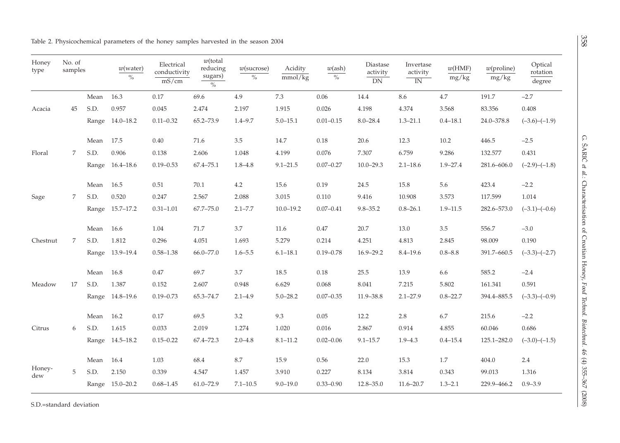| Honey<br>type | No. of<br>samples |      | $w$ (water)<br>$\%$ | Electrical<br>conductivity<br>mS/cm | $w$ (total<br>reducing<br>sugars)<br>$\%$ | $w$ (sucrose)<br>$\%$ | Acidity<br>mmol/kg | $w(\text{ash})$<br>$\%$ | Diastase<br>activity<br>DN | Invertase<br>activity<br>$\overline{IN}$ | w(HMF)<br>mg/kg | $w$ (proline)<br>mg/kg | Optical<br>rotation<br>degree                                                                                                                            |
|---------------|-------------------|------|---------------------|-------------------------------------|-------------------------------------------|-----------------------|--------------------|-------------------------|----------------------------|------------------------------------------|-----------------|------------------------|----------------------------------------------------------------------------------------------------------------------------------------------------------|
|               |                   | Mean | 16.3                | 0.17                                | 69.6                                      | 4.9                   | 7.3                | 0.06                    | 14.4                       | 8.6                                      | $4.7\,$         | 191.7                  | $-2.7$                                                                                                                                                   |
| Acacia        | 45                | S.D. | 0.957               | 0.045                               | 2.474                                     | 2.197                 | 1.915              | 0.026                   | 4.198                      | 4.374                                    | 3.568           | 83.356                 | 0.408                                                                                                                                                    |
|               |                   |      | Range 14.0-18.2     | $0.11 - 0.32$                       | 65.2-73.9                                 | $1.4 - 9.7$           | $5.0 - 15.1$       | $0.01 - 0.15$           | $8.0 - 28.4$               | $1.3 - 21.1$                             | $0.4 - 18.1$    | 24.0-378.8             | $(-3.6)-(-1.9)$                                                                                                                                          |
|               |                   | Mean | 17.5                | $0.40\,$                            | $71.6\,$                                  | $3.5\,$               | 14.7               | $0.18\,$                | 20.6                       | 12.3                                     | 10.2            | 446.5                  | $-2.5$                                                                                                                                                   |
| Floral        | 7                 | S.D. | 0.906               | 0.138                               | 2.606                                     | 1.048                 | 4.199              | 0.076                   | 7.307                      | 6.759                                    | 9.286           | 132.577                | 0.431                                                                                                                                                    |
|               |                   |      | Range 16.4-18.6     | $0.19 - 0.53$                       | 67.4-75.1                                 | $1.8 - 4.8$           | $9.1 - 21.5$       | $0.07 - 0.27$           | $10.0 - 29.3$              | $2.1 - 18.6$                             | $1.9 - 27.4$    | 281.6-606.0            | $(-2.9)$ - $(-1.8)$                                                                                                                                      |
|               |                   | Mean | 16.5                | 0.51                                | 70.1                                      | 4.2                   | 15.6               | 0.19                    | 24.5                       | 15.8                                     | 5.6             | 423.4                  | $-2.2$                                                                                                                                                   |
| Sage          | 7                 | S.D. | 0.520               | 0.247                               | 2.567                                     | 2.088                 | 3.015              | 0.110                   | 9.416                      | 10.908                                   | 3.573           | 117.599                | 1.014                                                                                                                                                    |
|               |                   |      | Range 15.7-17.2     | $0.31 - 1.01$                       | $67.7 - 75.0$                             | $2.1 - 7.7$           | $10.0 - 19.2$      | $0.07 - 0.41$           | $9.8 - 35.2$               | $0.8 - 26.1$                             | $1.9 - 11.5$    | 282.6-573.0            | $(-3.1)$ - $(-0.6)$<br>$-3.0$<br>0.190<br>$(-3.3)-(-2.7)$<br>$-2.4$<br>0.591<br>$(-3.3)$ - $(-0.9)$<br>$-2.2$<br>0.686<br>$(-3.0)$ - $(-1.5)$<br>$2.4\,$ |
|               |                   | Mean | 16.6                | 1.04                                | 71.7                                      | 3.7                   | 11.6               | 0.47                    | 20.7                       | 13.0                                     | 3.5             | 556.7                  |                                                                                                                                                          |
| Chestnut      | 7                 | S.D. | 1.812               | 0.296                               | 4.051                                     | 1.693                 | 5.279              | 0.214                   | 4.251                      | 4.813                                    | 2.845           | 98.009                 |                                                                                                                                                          |
|               |                   |      | Range 13.9-19.4     | $0.58 - 1.38$                       | 66.0-77.0                                 | $1.6 - 5.5$           | $6.1 - 18.1$       | $0.19 - 0.78$           | $16.9 - 29.2$              | $8.4 - 19.6$                             | $0.8 - 8.8$     | 391.7-660.5            |                                                                                                                                                          |
|               |                   | Mean | 16.8                | 0.47                                | 69.7                                      | 3.7                   | 18.5               | 0.18                    | 25.5                       | 13.9                                     | 6.6             | 585.2                  |                                                                                                                                                          |
| Meadow        | 17                | S.D. | 1.387               | 0.152                               | 2.607                                     | 0.948                 | 6.629              | 0.068                   | 8.041                      | 7.215                                    | 5.802           | 161.341                |                                                                                                                                                          |
|               |                   |      | Range 14.8-19.6     | $0.19 - 0.73$                       | 65.3-74.7                                 | $2.1 - 4.9$           | $5.0 - 28.2$       | $0.07 - 0.35$           | 11.9-38.8                  | $2.1 - 27.9$                             | $0.8 - 22.7$    | 394.4-885.5            |                                                                                                                                                          |
|               |                   | Mean | 16.2                | 0.17                                | 69.5                                      | 3.2                   | 9.3                | 0.05                    | 12.2                       | 2.8                                      | 6.7             | 215.6                  |                                                                                                                                                          |
| Citrus        | 6                 | S.D. | 1.615               | 0.033                               | 2.019                                     | 1.274                 | 1.020              | 0.016                   | 2.867                      | 0.914                                    | 4.855           | 60.046                 |                                                                                                                                                          |
|               |                   |      | Range 14.5-18.2     | $0.15 - 0.22$                       | 67.4-72.3                                 | $2.0 - 4.8$           | $8.1 - 11.2$       | $0.02 - 0.06$           | $9.1 - 15.7$               | $1.9 - 4.3$                              | $0.4 - 15.4$    | 125.1-282.0            |                                                                                                                                                          |
|               |                   | Mean | 16.4                | 1.03                                | 68.4                                      | $8.7\,$               | 15.9               | 0.56                    | 22.0                       | 15.3                                     | $1.7\,$         | 404.0                  |                                                                                                                                                          |
| Honey-<br>dew | 5                 | S.D. | 2.150               | 0.339                               | 4.547                                     | 1.457                 | 3.910              | 0.227                   | 8.134                      | 3.814                                    | 0.343           | 99.013                 | 1.316                                                                                                                                                    |
|               |                   |      | Range 15.0-20.2     | $0.68 - 1.45$                       | $61.0 - 72.9$                             | $7.1 - 10.5$          | $9.0 - 19.0$       | $0.33 - 0.90$           | $12.8 - 35.0$              | $11.6 - 20.7$                            | $1.3 - 2.1$     | 229.9-466.2            | $0.9 - 3.9$                                                                                                                                              |

S.D.=standard deviation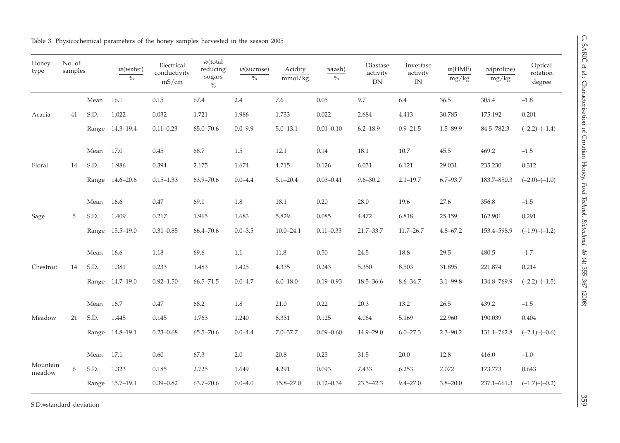|  |  |  | Table 3. Physicochemical parameters of the honey samples harvested in the season 2005 |  |  |  |  |  |  |  |  |  |  |  |
|--|--|--|---------------------------------------------------------------------------------------|--|--|--|--|--|--|--|--|--|--|--|
|--|--|--|---------------------------------------------------------------------------------------|--|--|--|--|--|--|--|--|--|--|--|

| Honey<br>type      | No. of<br>samples |           | $w$ (water)<br>$\frac{0}{0}$ | Electrical<br>conductivity<br>mS/cm | $w$ (total<br>reducing<br>sugars<br>$\sqrt[0]{\phantom{0}}_0$ | $w$ (sucrose)<br>$\%$ | Acidity<br>mmol/kg | $w(\text{ash})$<br>$\%$ | Diastase<br>activity<br>DN | Invertase<br>activity<br>IN | w(HMF)<br>mg/kg | $w$ (proline)<br>mg/kg | Optical<br>rotation<br>degree                                                                                                                       |
|--------------------|-------------------|-----------|------------------------------|-------------------------------------|---------------------------------------------------------------|-----------------------|--------------------|-------------------------|----------------------------|-----------------------------|-----------------|------------------------|-----------------------------------------------------------------------------------------------------------------------------------------------------|
|                    |                   | Mean      | 16.1                         | 0.15                                | 67.4                                                          | 2.4                   | 7.6                | 0.05                    | 9.7                        | 6.4                         | 36.5            | 305.4                  | $-1.8$                                                                                                                                              |
| Acacia             | 41                | S.D.      | 1.022                        | 0.032                               | 1.721                                                         | 1.986                 | 1.733              | 0.022                   | 2.684                      | 4.413                       | 30.785          | 175.192                | 0.201                                                                                                                                               |
|                    |                   |           | Range 14.3-19.4              | $0.11 - 0.23$                       | 65.0-70.6                                                     | $0.0 - 9.9$           | $5.0 - 13.1$       | $0.01 - 0.10$           | $6.2 - 18.9$               | $0.9 - 21.5$                | $1.5 - 89.9$    | 84.5-782.3             |                                                                                                                                                     |
|                    |                   | Mean 17.0 |                              | 0.45                                | 68.7                                                          | 1.5                   | 12.1               | 0.14                    | 18.1                       | 10.7                        | 45.5            | 469.2                  | $-1.5$                                                                                                                                              |
| Floral             | 14                | S.D.      | 1.986                        | 0.394                               | 2.175                                                         | 1.674                 | 4.715              | 0.126                   | 6.031                      | 6.121                       | 29.031          | 235.230                | 0.312                                                                                                                                               |
|                    |                   |           | Range 14.6-20.6              | $0.15 - 1.33$                       | 63.9-70.6                                                     | $0.0 - 4.4$           | $5.1 - 20.4$       | $0.03 - 0.41$           | $9.6 - 30.2$               | $2.1 - 19.7$                | $6.7 - 93.7$    | 183.7-850.3            |                                                                                                                                                     |
|                    |                   | Mean      | 16.6                         | 0.47                                | 69.1                                                          | $1.8\,$               | 18.1               | 0.20                    | 28.0                       | 19.6                        | 27.6            | 356.8                  | $-1.5$                                                                                                                                              |
| Sage               | 5                 | S.D.      | 1.409                        | 0.217                               | 1.965                                                         | 1.683                 | 5.829              | 0.085                   | 4.472                      | 6.818                       | 25.159          | 162.901                | 0.291                                                                                                                                               |
|                    |                   |           | Range 15.5-19.0              | $0.31 - 0.85$                       | 66.4-70.6                                                     | $0.0 - 3.5$           | $10.0 - 24.1$      | $0.11 - 0.33$           | 21.7-33.7                  | $11.7 - 26.7$               | $4.8 - 67.2$    | 153.4-598.9            | $(-2.2)-(-1.4)$<br>$(-2.0)$ - $(-1.0)$<br>$(-1.9)-(-1.2)$<br>$-1.7$<br>0.214<br>$(-2.2)-(-1.5)$<br>$-1.5$<br>0.404<br>$(-2.1)$ - $(-0.6)$<br>$-1.0$ |
|                    |                   | Mean 16.6 |                              | 1.18                                | 69.6                                                          | 1.1                   | $11.8\,$           | 0.50                    | 24.5                       | 18.8                        | 29.5            | 480.5                  |                                                                                                                                                     |
| Chestnut           | 14                | S.D.      | 1.381                        | 0.233                               | 1.483                                                         | 1.425                 | 4.335              | 0.243                   | 5.350                      | 8.503                       | 31.895          | 221.874                |                                                                                                                                                     |
|                    |                   |           | Range 14.7-19.0              | $0.92 - 1.50$                       | $66.5 - 71.5$                                                 | $0.0 - 4.7$           | $6.0 - 18.0$       | $0.19 - 0.93$           | 18.5-36.6                  | $8.6 - 34.7$                | $3.1 - 99.8$    | 134.8-769.9            |                                                                                                                                                     |
|                    |                   | Mean      | 16.7                         | 0.47                                | 68.2                                                          | 1.8                   | 21.0               | 0.22                    | 20.3                       | 13.2                        | 26.5            | 439.2                  |                                                                                                                                                     |
| Meadow             | 21                | S.D.      | 1.445                        | 0.145                               | 1.763                                                         | 1.240                 | 8.331              | 0.125                   | 4.084                      | 5.169                       | 22.960          | 190.039                |                                                                                                                                                     |
|                    |                   |           | Range 14.8-19.1              | $0.23 - 0.68$                       | 65.5-70.6                                                     | $0.0 - 4.4$           | $7.0 - 37.7$       | $0.09 - 0.60$           | 14.9-29.0                  | $6.0 - 27.3$                | $2.3 - 90.2$    | 131.1-762.8            |                                                                                                                                                     |
|                    |                   | Mean 17.1 |                              | 0.60                                | 67.3                                                          | $2.0\,$               | 20.8               | 0.23                    | 31.5                       | $20.0\,$                    | $12.8\,$        | $416.0\,$              |                                                                                                                                                     |
| Mountain<br>meadow | 6                 | S.D.      | 1.323                        | 0.185                               | 2.725                                                         | 1.649                 | 4.291              | 0.093                   | 7.433                      | 6.253                       | 7.072           | 173.773                | 0.643                                                                                                                                               |
|                    |                   |           | Range 15.7-19.1              | $0.39 - 0.82$                       | 63.7-70.6                                                     | $0.0 - 4.0$           | $15.8 - 27.0$      | $0.12 - 0.34$           | $23.5 - 42.3$              | $9.4 - 27.0$                | $3.8 - 20.0$    | 237.1-661.3            | $(-1.7)$ - $(-0.2)$                                                                                                                                 |

S.D.=standard deviation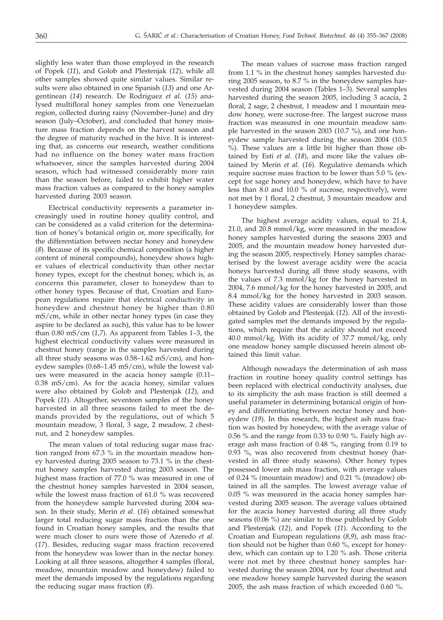slightly less water than those employed in the research of Popek (*11*), and Golob and Plestenjak (*12*), while all other samples showed quite similar values. Similar results were also obtained in one Spanish (*13*) and one Argentinean (*14*) research. De Rodriguez *et al*. (*15*) analysed multifloral honey samples from one Venezuelan region, collected during rainy (November–June) and dry season (July–October), and concluded that honey moisture mass fraction depends on the harvest season and the degree of maturity reached in the hive. It is interesting that, as concerns our research, weather conditions had no influence on the honey water mass fraction whatsoever, since the samples harvested during 2004 season, which had witnessed considerably more rain than the season before, failed to exhibit higher water mass fraction values as compared to the honey samples harvested during 2003 season.

Electrical conductivity represents a parameter increasingly used in routine honey quality control, and can be considered as a valid criterion for the determination of honey's botanical origin or, more specifically, for the differentiation between nectar honey and honeydew (*8*). Because of its specific chemical composition (a higher content of mineral compounds), honeydew shows higher values of electrical conductivity than other nectar honey types, except for the chestnut honey, which is, as concerns this parameter, closer to honeydew than to other honey types. Because of that, Croatian and European regulations require that electrical conductivity in honeydew and chestnut honey be higher than 0.80 mS/cm, while in other nectar honey types (in case they aspire to be declared as such), this value has to be lower than 0.80 mS/cm (*1,7*). As apparent from Tables 1–3, the highest electrical conductivity values were measured in chestnut honey (range in the samples harvested during all three study seasons was 0.58–1.62 mS/cm), and honeydew samples (0.68–1.45 mS/cm), while the lowest values were measured in the acacia honey sample (0.11– 0.38 mS/cm). As for the acacia honey, similar values were also obtained by Golob and Plestenjak (*12*), and Popek (*11*). Altogether, seventeen samples of the honey harvested in all three seasons failed to meet the demands provided by the regulations, out of which 5 mountain meadow, 3 floral, 3 sage, 2 meadow, 2 chestnut, and 2 honeydew samples.

The mean values of total reducing sugar mass fraction ranged from 67.3 % in the mountain meadow honey harvested during 2005 season to 73.1 % in the chestnut honey samples harvested during 2003 season. The highest mass fraction of 77.0 % was measured in one of the chestnut honey samples harvested in 2004 season, while the lowest mass fraction of 61.0 % was recovered from the honeydew sample harvested during 2004 season. In their study, Merin *et al.* (*16*) obtained somewhat larger total reducing sugar mass fraction than the one found in Croatian honey samples, and the results that were much closer to ours were those of Azeredo *et al.* (*17*). Besides, reducing sugar mass fraction recovered from the honeydew was lower than in the nectar honey. Looking at all three seasons, altogether 4 samples (floral, meadow, mountain meadow and honeydew) failed to meet the demands imposed by the regulations regarding the reducing sugar mass fraction (*8*).

The mean values of sucrose mass fraction ranged from 1.1 % in the chestnut honey samples harvested during 2005 season, to 8.7 % in the honeydew samples harvested during 2004 season (Tables 1–3). Several samples harvested during the season 2005, including 3 acacia, 2 floral, 2 sage, 2 chestnut, 1 meadow and 1 mountain meadow honey, were sucrose-free. The largest sucrose mass fraction was measured in one mountain meadow sample harvested in the season 2003 (10.7 %), and one honeydew sample harvested during the season 2004 (10.5 %). These values are a little bit higher than those obtained by Esti *et al.* (*18*), and more like the values obtained by Merin *et al.* (*16*). Regulative demands which require sucrose mass fraction to be lower than 5.0 % (except for sage honey and honeydew, which have to have less than 8.0 and 10.0 % of sucrose, respectively), were not met by 1 floral, 2 chestnut, 3 mountain meadow and 1 honeydew samples.

The highest average acidity values, equal to 21.4, 21.0, and 20.8 mmol/kg, were measured in the meadow honey samples harvested during the seasons 2003 and 2005, and the mountain meadow honey harvested during the season 2005, respectively. Honey samples characterised by the lowest average acidity were the acacia honeys harvested during all three study seasons, with the values of 7.3 mmol/kg for the honey harvested in 2004, 7.6 mmol/kg for the honey harvested in 2005, and 8.4 mmol/kg for the honey harvested in 2003 season. These acidity values are considerably lower than those obtained by Golob and Plestenjak (*12*). All of the investigated samples met the demands imposed by the regulations, which require that the acidity should not exceed 40.0 mmol/kg. With its acidity of 37.7 mmol/kg, only one meadow honey sample discussed herein almost obtained this limit value.

Although nowadays the determination of ash mass fraction in routine honey quality control settings has been replaced with electrical conductivity analyses, due to its simplicity the ash mass fraction is still deemed a useful parameter in determining botanical origin of honey and differentiating between nectar honey and honeydew (*19*). In this research, the highest ash mass fraction was hosted by honeydew, with the average value of 0.56 % and the range from 0.33 to 0.90 %. Fairly high average ash mass fraction of 0.48 %, ranging from 0.19 to 0.93 %, was also recovered from chestnut honey (harvested in all three study seasons). Other honey types possessed lower ash mass fraction, with average values of 0.24 % (mountain meadow) and 0.21 % (meadow) obtained in all the samples. The lowest average value of 0.05 % was measured in the acacia honey samples harvested during 2005 season. The average values obtained for the acacia honey harvested during all three study seasons (0.06 %) are similar to those published by Golob and Plestenjak (*12*), and Popek (*11*). According to the Croatian and European regulations (*8,9*), ash mass fraction should not be higher than 0.60 %, except for honeydew, which can contain up to 1.20 % ash. Those criteria were not met by three chestnut honey samples harvested during the season 2004, nor by four chestnut and one meadow honey sample harvested during the season 2005, the ash mass fraction of which exceeded 0.60 %.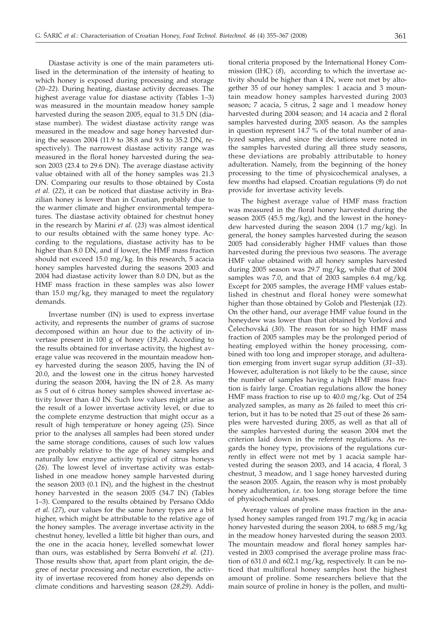Diastase activity is one of the main parameters utilised in the determination of the intensity of heating to which honey is exposed during processing and storage (*20–22*). During heating, diastase activity decreases. The highest average value for diastase activity (Tables 1–3) was measured in the mountain meadow honey sample harvested during the season 2005, equal to 31.5 DN (diastase number). The widest diastase activity range was measured in the meadow and sage honey harvested during the season 2004 (11.9 to 38.8 and 9.8 to 35.2 DN, respectively). The narrowest diastase activity range was measured in the floral honey harvested during the season 2003 (23.4 to 29.6 DN). The average diastase activity value obtained with all of the honey samples was 21.3 DN. Comparing our results to those obtained by Costa *et al.* (*22*), it can be noticed that diastase activity in Brazilian honey is lower than in Croatian, probably due to the warmer climate and higher environmental temperatures. The diastase activity obtained for chestnut honey in the research by Marini *et al.* (*23*) was almost identical to our results obtained with the same honey type. According to the regulations, diastase activity has to be higher than 8.0 DN, and if lower, the HMF mass fraction should not exceed 15.0 mg/kg. In this research, 5 acacia honey samples harvested during the seasons 2003 and 2004 had diastase activity lower than 8.0 DN, but as the HMF mass fraction in these samples was also lower than 15.0 mg/kg, they managed to meet the regulatory demands.

Invertase number (IN) is used to express invertase activity, and represents the number of grams of sucrose decomposed within an hour due to the activity of invertase present in 100 g of honey (*19,24*). According to the results obtained for invertase activity, the highest average value was recovered in the mountain meadow honey harvested during the season 2005, having the IN of 20.0, and the lowest one in the citrus honey harvested during the season 2004, having the IN of 2.8. As many as 5 out of 6 citrus honey samples showed invertase activity lower than 4.0 IN. Such low values might arise as the result of a lower invertase activity level, or due to the complete enzyme destruction that might occur as a result of high temperature or honey ageing (*25*). Since prior to the analyses all samples had been stored under the same storage conditions, causes of such low values are probably relative to the age of honey samples and naturally low enzyme activity typical of citrus honeys (*26*). The lowest level of invertase activity was established in one meadow honey sample harvested during the season 2003 (0.1 IN), and the highest in the chestnut honey harvested in the season 2005 (34.7 IN) (Tables 1–3). Compared to the results obtained by Persano Oddo *et al.* (*27*), our values for the same honey types are a bit higher, which might be attributable to the relative age of the honey samples. The average invertase activity in the chestnut honey, levelled a little bit higher than ours, and the one in the acacia honey, levelled somewhat lower than ours, was established by Serra Bonvehí *et al.* (*21*). Those results show that, apart from plant origin, the degree of nectar processing and nectar excretion, the activity of invertase recovered from honey also depends on climate conditions and harvesting season (*28,29*). Addi-

tional criteria proposed by the International Honey Commission (IHC) (*8*), according to which the invertase activity should be higher than 4 IN, were not met by altogether 35 of our honey samples: 1 acacia and 3 mountain meadow honey samples harvested during 2003 season; 7 acacia, 5 citrus, 2 sage and 1 meadow honey harvested during 2004 season; and 14 acacia and 2 floral samples harvested during 2005 season. As the samples in question represent 14.7 % of the total number of analyzed samples, and since the deviations were noted in the samples harvested during all three study seasons, these deviations are probably attributable to honey adulteration. Namely, from the beginning of the honey processing to the time of physicochemical analyses, a few months had elapsed. Croatian regulations (*9*) do not provide for invertase activity levels.

The highest average value of HMF mass fraction was measured in the floral honey harvested during the season 2005 (45.5 mg/kg), and the lowest in the honeydew harvested during the season 2004 (1.7 mg/kg). In general, the honey samples harvested during the season 2005 had considerably higher HMF values than those harvested during the previous two seasons. The average HMF value obtained with all honey samples harvested during 2005 season was 29.7 mg/kg, while that of 2004 samples was 7.0, and that of 2003 samples 6.4 mg/kg. Except for 2005 samples, the average HMF values established in chestnut and floral honey were somewhat higher than those obtained by Golob and Plestenjak (*12*). On the other hand, our average HMF value found in the honeydew was lower than that obtained by Vorlová and ^elechovská (*30*). The reason for so high HMF mass fraction of 2005 samples may be the prolonged period of heating employed within the honey processing, combined with too long and improper storage, and adulteration emerging from invert sugar syrup addition (*31–33*). However, adulteration is not likely to be the cause, since the number of samples having a high HMF mass fraction is fairly large. Croatian regulations allow the honey HMF mass fraction to rise up to 40.0 mg/kg. Out of 254 analyzed samples, as many as 26 failed to meet this criterion, but it has to be noted that 25 out of these 26 samples were harvested during 2005, as well as that all of the samples harvested during the season 2004 met the criterion laid down in the referent regulations. As regards the honey type, provisions of the regulations currently in effect were not met by 1 acacia sample harvested during the season 2003, and 14 acacia, 4 floral, 3 chestnut, 3 meadow, and 1 sage honey harvested during the season 2005. Again, the reason why is most probably honey adulteration, *i.e.* too long storage before the time of physicochemical analyses.

Average values of proline mass fraction in the analysed honey samples ranged from 191.7 mg/kg in acacia honey harvested during the season 2004, to 688.5 mg/kg in the meadow honey harvested during the season 2003. The mountain meadow and floral honey samples harvested in 2003 comprised the average proline mass fraction of 631.0 and 602.1 mg/kg, respectively. It can be noticed that multifloral honey samples host the highest amount of proline. Some researchers believe that the main source of proline in honey is the pollen, and multi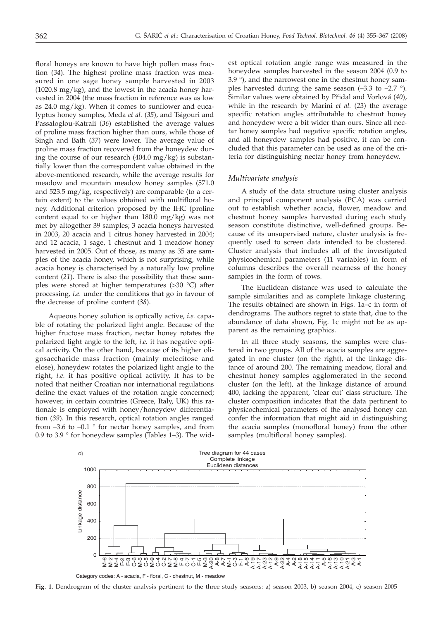floral honeys are known to have high pollen mass fraction (*34*). The highest proline mass fraction was measured in one sage honey sample harvested in 2003  $(1020.8 \text{ mg/kg})$ , and the lowest in the acacia honey harvested in 2004 (the mass fraction in reference was as low as 24.0 mg/kg). When it comes to sunflower and eucalyptus honey samples, Meda *et al.* (*35*), and Tsigouri and Passaloglou-Katrali (*36*) established the average values of proline mass fraction higher than ours, while those of Singh and Bath (*37*) were lower. The average value of proline mass fraction recovered from the honeydew during the course of our research (404.0 mg/kg) is substantially lower than the correspondent value obtained in the above-mentioned research, while the average results for meadow and mountain meadow honey samples (571.0 and 523.5 mg/kg, respectively) are comparable (to a certain extent) to the values obtained with multifloral honey. Additional criterion proposed by the IHC (proline content equal to or higher than 180.0 mg/kg) was not met by altogether 39 samples; 3 acacia honeys harvested in 2003, 20 acacia and 1 citrus honey harvested in 2004; and 12 acacia, 1 sage, 1 chestnut and 1 meadow honey harvested in 2005. Out of those, as many as 35 are samples of the acacia honey, which is not surprising, while acacia honey is characterised by a naturally low proline content (*21*). There is also the possibility that these samples were stored at higher temperatures (>30 °C) after processing, *i.e.* under the conditions that go in favour of the decrease of proline content (*38*).

Aqueous honey solution is optically active, *i.e.* capable of rotating the polarized light angle. Because of the higher fructose mass fraction, nectar honey rotates the polarized light angle to the left, *i.e.* it has negative optical activity. On the other hand, because of its higher oligosaccharide mass fraction (mainly melecitose and elose), honeydew rotates the polarized light angle to the right, *i.e.* it has positive optical activity. It has to be noted that neither Croatian nor international regulations define the exact values of the rotation angle concerned; however, in certain countries (Greece, Italy, UK) this rationale is employed with honey/honeydew differentiation (*39*). In this research, optical rotation angles ranged from  $-3.6$  to  $-0.1$  ° for nectar honey samples, and from 0.9 to 3.9 ° for honeydew samples (Tables 1–3). The wid-

est optical rotation angle range was measured in the honeydew samples harvested in the season 2004 (0.9 to 3.9 °), and the narrowest one in the chestnut honey samples harvested during the same season  $(-3.3 \text{ to } -2.7 \text{°})$ . Similar values were obtained by Přidal and Vorlová (40), while in the research by Marini *et al.* (*23*) the average specific rotation angles attributable to chestnut honey and honeydew were a bit wider than ours. Since all nectar honey samples had negative specific rotation angles, and all honeydew samples had positive, it can be concluded that this parameter can be used as one of the criteria for distinguishing nectar honey from honeydew.

#### *Multivariate analysis*

A study of the data structure using cluster analysis and principal component analysis (PCA) was carried out to establish whether acacia, flower, meadow and chestnut honey samples harvested during each study season constitute distinctive, well-defined groups. Because of its unsupervised nature, cluster analysis is frequently used to screen data intended to be clustered. Cluster analysis that includes all of the investigated physicochemical parameters (11 variables) in form of columns describes the overall nearness of the honey samples in the form of rows.

The Euclidean distance was used to calculate the sample similarities and as complete linkage clustering. The results obtained are shown in Figs. 1a–c in form of dendrograms. The authors regret to state that, due to the abundance of data shown, Fig. 1c might not be as apparent as the remaining graphics.

In all three study seasons, the samples were clustered in two groups. All of the acacia samples are aggregated in one cluster (on the right), at the linkage distance of around 200. The remaining meadow, floral and chestnut honey samples agglomerated in the second cluster (on the left), at the linkage distance of around 400, lacking the apparent, 'clear cut' class structure. The cluster composition indicates that the data pertinent to physicochemical parameters of the analysed honey can confer the information that might aid in distinguishing the acacia samples (monofloral honey) from the other samples (multifloral honey samples).



Category codes: A - acacia, F - floral, C - chestnut, M - meadow

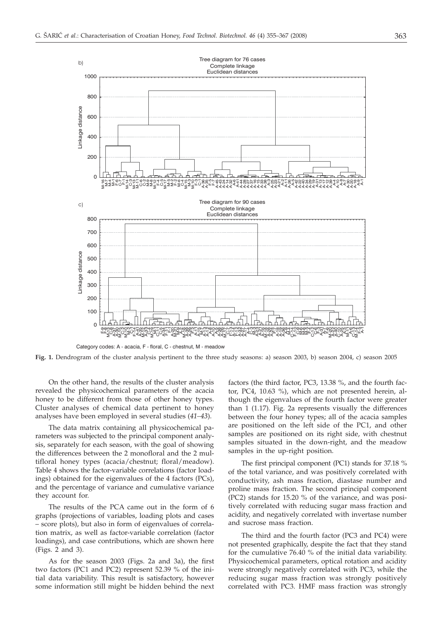

Category codes: A - acacia, F - floral, C - chestnut, M - meadow

**Fig. 1.** Dendrogram of the cluster analysis pertinent to the three study seasons: a) season 2003, b) season 2004, c) season 2005

On the other hand, the results of the cluster analysis revealed the physicochemical parameters of the acacia honey to be different from those of other honey types. Cluster analyses of chemical data pertinent to honey analyses have been employed in several studies (*41–43*).

The data matrix containing all physicochemical parameters was subjected to the principal component analysis, separately for each season, with the goal of showing the differences between the 2 monofloral and the 2 multifloral honey types (acacia/chestnut; floral/meadow). Table 4 shows the factor-variable correlations (factor loadings) obtained for the eigenvalues of the 4 factors (PCs), and the percentage of variance and cumulative variance they account for.

The results of the PCA came out in the form of 6 graphs (projections of variables, loading plots and cases – score plots), but also in form of eigenvalues of correlation matrix, as well as factor-variable correlation (factor loadings), and case contributions, which are shown here (Figs. 2 and 3).

As for the season 2003 (Figs. 2a and 3a), the first two factors (PC1 and PC2) represent 52.39 % of the initial data variability. This result is satisfactory, however some information still might be hidden behind the next

factors (the third factor, PC3, 13.38 %, and the fourth factor, PC4, 10.63 %), which are not presented herein, although the eigenvalues of the fourth factor were greater than 1 (1.17). Fig. 2a represents visually the differences between the four honey types; all of the acacia samples are positioned on the left side of the PC1, and other samples are positioned on its right side, with chestnut samples situated in the down-right, and the meadow samples in the up-right position.

The first principal component (PC1) stands for 37.18 % of the total variance, and was positively correlated with conductivity, ash mass fraction, diastase number and proline mass fraction. The second principal component (PC2) stands for 15.20 % of the variance, and was positively correlated with reducing sugar mass fraction and acidity, and negatively correlated with invertase number and sucrose mass fraction.

The third and the fourth factor (PC3 and PC4) were not presented graphically, despite the fact that they stand for the cumulative 76.40 % of the initial data variability. Physicochemical parameters, optical rotation and acidity were strongly negatively correlated with PC3, while the reducing sugar mass fraction was strongly positively correlated with PC3. HMF mass fraction was strongly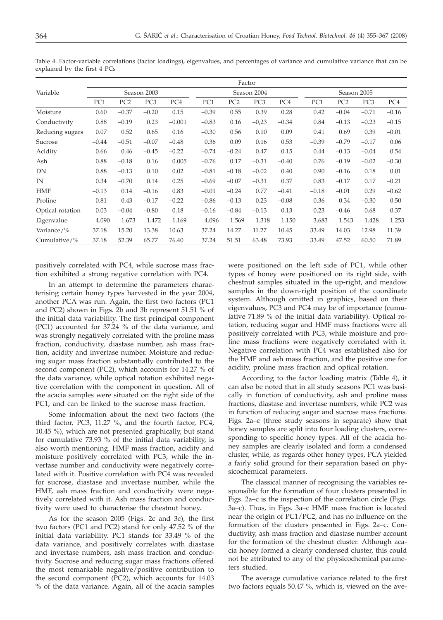|                  |                 |                 |                 |          |                 | Factor          |                 |         |                 |                 |                 |         |  |  |
|------------------|-----------------|-----------------|-----------------|----------|-----------------|-----------------|-----------------|---------|-----------------|-----------------|-----------------|---------|--|--|
| Variable         |                 |                 | Season 2003     |          |                 |                 | Season 2004     |         |                 | Season 2005     |                 |         |  |  |
|                  | PC <sub>1</sub> | PC <sub>2</sub> | PC <sub>3</sub> | PC4      | PC <sub>1</sub> | PC <sub>2</sub> | PC <sub>3</sub> | PC4     | PC <sub>1</sub> | PC <sub>2</sub> | PC <sub>3</sub> | PC4     |  |  |
| Moisture         | 0.60            | $-0.37$         | $-0.20$         | 0.15     | $-0.39$         | 0.55            | 0.39            | 0.28    | 0.42            | $-0.04$         | $-0.71$         | $-0.16$ |  |  |
| Conductivity     | 0.88            | $-0.19$         | 0.23            | $-0.001$ | $-0.83$         | 0.16            | $-0,23$         | $-0.34$ | 0.84            | $-0.13$         | $-0.23$         | $-0.15$ |  |  |
| Reducing sugars  | 0.07            | 0.52            | 0.65            | 0.16     | $-0.30$         | 0.56            | 0.10            | 0.09    | 0.41            | 0.69            | 0.39            | $-0.01$ |  |  |
| Sucrose          | $-0.44$         | $-0.51$         | $-0.07$         | $-0.48$  | 0.36            | 0.09            | 0.16            | 0.53    | $-0.39$         | $-0.79$         | $-0.17$         | 0.06    |  |  |
| Acidity          | 0.66            | 0.46            | $-0.45$         | $-0.22$  | $-0.74$         | $-0.24$         | 0.47            | 0.15    | 0.44            | $-0.13$         | $-0.04$         | 0.54    |  |  |
| Ash              | 0.88            | $-0.18$         | 0.16            | 0.005    | $-0.76$         | 0.17            | $-0.31$         | $-0.40$ | 0.76            | $-0.19$         | $-0.02$         | $-0.30$ |  |  |
| DN               | 0.88            | $-0.13$         | 0.10            | 0.02     | $-0.81$         | $-0.18$         | $-0.02$         | 0.40    | 0.90            | $-0.16$         | 0.18            | 0.01    |  |  |
| IN               | 0.34            | $-0.70$         | 0.14            | 0.25     | $-0.69$         | $-0.07$         | $-0.31$         | 0.37    | 0.83            | $-0.17$         | 0.17            | $-0.21$ |  |  |
| HMF              | $-0.13$         | 0.14            | $-0.16$         | 0.83     | $-0.01$         | $-0.24$         | 0.77            | $-0.41$ | $-0.18$         | $-0.01$         | 0.29            | $-0.62$ |  |  |
| Proline          | 0.81            | 0.43            | $-0.17$         | $-0.22$  | $-0.86$         | $-0.13$         | 0.23            | $-0.08$ | 0.36            | 0.34            | $-0.30$         | 0.50    |  |  |
| Optical rotation | 0.03            | $-0.04$         | $-0.80$         | 0.18     | $-0.16$         | $-0.84$         | $-0.13$         | 0.13    | 0.23            | $-0.46$         | 0.68            | 0.37    |  |  |
| Eigenvalue       | 4.090           | 1.673           | 1.472           | 1.169    | 4.096           | 1.569           | 1.318           | 1.150   | 3.683           | 1.543           | 1.428           | 1.253   |  |  |
| Variance/%       | 37.18           | 15.20           | 13.38           | 10.63    | 37.24           | 14.27           | 11.27           | 10.45   | 33.49           | 14.03           | 12.98           | 11.39   |  |  |
| Cumulative/%     | 37.18           | 52.39           | 65.77           | 76.40    | 37.24           | 51.51           | 63.48           | 73.93   | 33.49           | 47.52           | 60.50           | 71.89   |  |  |

Table 4. Factor-variable correlations (factor loadings), eigenvalues, and percentages of variance and cumulative variance that can be explained by the first 4 PCs

positively correlated with PC4, while sucrose mass fraction exhibited a strong negative correlation with PC4.

In an attempt to determine the parameters characterising certain honey types harvested in the year 2004, another PCA was run. Again, the first two factors (PC1 and PC2) shown in Figs. 2b and 3b represent 51.51 % of the initial data variability. The first principal component (PC1) accounted for 37.24 % of the data variance, and was strongly negatively correlated with the proline mass fraction, conductivity, diastase number, ash mass fraction, acidity and invertase number. Moisture and reducing sugar mass fraction substantially contributed to the second component (PC2), which accounts for 14.27 % of the data variance, while optical rotation exhibited negative correlation with the component in question. All of the acacia samples were situated on the right side of the PC1, and can be linked to the sucrose mass fraction.

Some information about the next two factors (the third factor, PC3, 11.27 %, and the fourth factor, PC4, 10.45 %), which are not presented graphically, but stand for cumulative 73.93 % of the initial data variability, is also worth mentioning. HMF mass fraction, acidity and moisture positively correlated with PC3, while the invertase number and conductivity were negatively correlated with it. Positive correlation with PC4 was revealed for sucrose, diastase and invertase number, while the HMF, ash mass fraction and conductivity were negatively correlated with it. Ash mass fraction and conductivity were used to characterise the chestnut honey.

As for the season 2005 (Figs. 2c and 3c), the first two factors (PC1 and PC2) stand for only 47.52 % of the initial data variability. PC1 stands for 33.49 % of the data variance, and positively correlates with diastase and invertase numbers, ash mass fraction and conductivity. Sucrose and reducing sugar mass fractions offered the most remarkable negative/positive contribution to the second component (PC2), which accounts for 14.03 % of the data variance. Again, all of the acacia samples

were positioned on the left side of PC1, while other types of honey were positioned on its right side, with chestnut samples situated in the up-right, and meadow samples in the down-right position of the coordinate system. Although omitted in graphics, based on their eigenvalues, PC3 and PC4 may be of importance (cumulative 71.89 % of the initial data variability). Optical rotation, reducing sugar and HMF mass fractions were all positively correlated with PC3, while moisture and proline mass fractions were negatively correlated with it. Negative correlation with PC4 was established also for the HMF and ash mass fraction, and the positive one for acidity, proline mass fraction and optical rotation.

According to the factor loading matrix (Table 4), it can also be noted that in all study seasons PC1 was basically in function of conductivity, ash and proline mass fractions, diastase and invertase numbers, while PC2 was in function of reducing sugar and sucrose mass fractions. Figs. 2a–c (three study seasons in separate) show that honey samples are split into four loading clusters, corresponding to specific honey types. All of the acacia honey samples are clearly isolated and form a condensed cluster, while, as regards other honey types, PCA yielded a fairly solid ground for their separation based on physicochemical parameters.

The classical manner of recognising the variables responsible for the formation of four clusters presented in Figs. 2a–c is the inspection of the correlation circle (Figs. 3a–c). Thus, in Figs. 3a–c HMF mass fraction is located near the origin of PC1/PC2, and has no influence on the formation of the clusters presented in Figs. 2a–c. Conductivity, ash mass fraction and diastase number account for the formation of the chestnut cluster. Although acacia honey formed a clearly condensed cluster, this could not be attributed to any of the physicochemical parameters studied.

The average cumulative variance related to the first two factors equals 50.47 %, which is, viewed on the ave-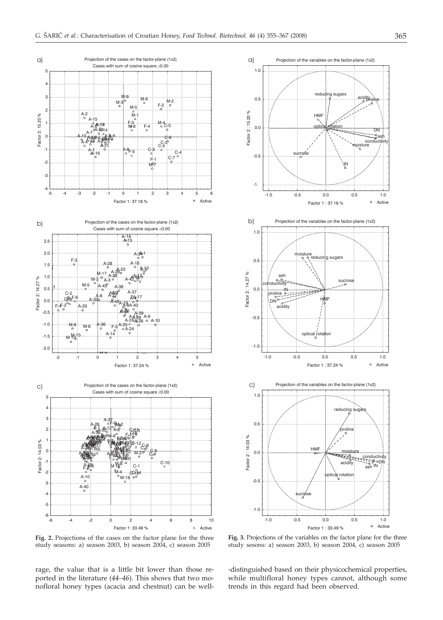



**Fig. 2.** Projections of the cases on the factor plane for the three study seasons: a) season 2003, b) season 2004, c) season 2005

rage, the value that is a little bit lower than those reported in the literature (*44–46*). This shows that two monofloral honey types (acacia and chestnut) can be well-

**Fig. 3.** Projections of the variables on the factor plane for the three study sesons: a) season 2003, b) season 2004, c) season 2005

-distinguished based on their physicochemical properties, while multifloral honey types cannot, although some trends in this regard had been observed.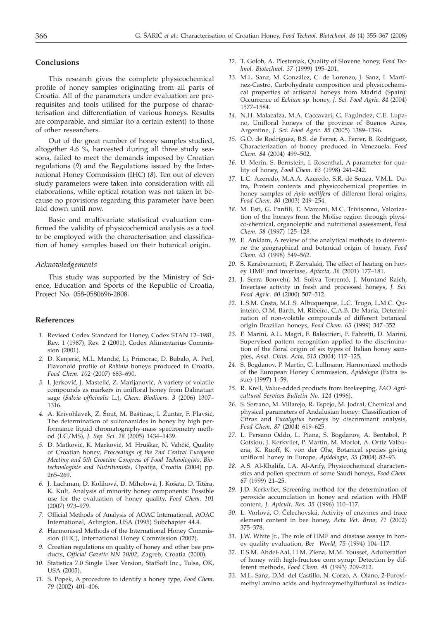# **Conclusions**

This research gives the complete physicochemical profile of honey samples originating from all parts of Croatia. All of the parameters under evaluation are prerequisites and tools utilised for the purpose of characterisation and differentiation of various honeys. Results are comparable, and similar (to a certain extent) to those of other researchers.

Out of the great number of honey samples studied, altogether 4.6 %, harvested during all three study seasons, failed to meet the demands imposed by Croatian regulations (*9*) and the Regulations issued by the International Honey Commission (IHC) (*8*). Ten out of eleven study parameters were taken into consideration with all elaborations, while optical rotation was not taken in because no provisions regarding this parameter have been laid down until now.

Basic and multivariate statistical evaluation confirmed the validity of physicochemical analysis as a tool to be employed with the characterisation and classification of honey samples based on their botanical origin.

#### *Acknowledgements*

This study was supported by the Ministry of Science, Education and Sports of the Republic of Croatia, Project No. 058-0580696-2808.

# **References**

- *1.* Revised Codex Standard for Honey, Codex STAN 12–1981, Rev. 1 (1987), Rev. 2 (2001), Codex Alimentarius Commission (2001).
- 2. D. Kenjerić, M.L. Mandić, Lj. Primorac, D. Bubalo, A. Perl, Flavonoid profile of *Robinia* honeys produced in Croatia, *Food Chem. 102* (2007) 683–690.
- 3. I. Jerković, J. Mastelić, Z. Marijanović, A variety of volatile compounds as markers in unifloral honey from Dalmatian sage (*Salvia officinalis* L.), *Chem. Biodivers. 3* (2006) 1307– 1316.
- 4. A. Krivohlavek, Z. Šmit, M. Baštinac, I. Žuntar, F. Plavšić, The determination of sulfonamides in honey by high performance liquid chromatography-mass spectrometry method (LC/MS), *J. Sep. Sci. 28* (2005) 1434–1439.
- 5. D. Matković, K. Marković, M. Hruškar, N. Vahčić, Quality of Croatian honey, *Proceedings of the 2nd Central European Meeting and 5th Croatian Congress of Food Technologists, Biotechnologists and Nutritionists*, Opatija, Croatia (2004) pp. 265–269.
- 6. J. Lachman, D. Kolihová, D. Miholová, J. Košata, D. Titěra, K. Kult, Analysis of minority honey components: Possible use for the evaluation of honey quality, *Food Chem. 101* (2007) 973–979.
- *7.* Official Methods of Analysis of AOAC International, AOAC International, Arlington, USA (1995) Subchapter 44.4.
- *8.* Harmonised Methods of the International Honey Commission (IHC), International Honey Commission (2002).
- *9.* Croatian regulations on quality of honey and other bee products, *Official Gazette NN 20/02*, Zagreb, Croatia (2000).
- *10.* Statistica 7.0 Single User Version, StatSoft Inc., Tulsa, OK, USA (2005).
- *11.* S. Popek, A procedure to identify a honey type, *Food Chem*. *79* (2002) 401–406.
- *12.* T. Golob, A. Plestenjak, Quality of Slovene honey, *Food Technol. Biotechnol. 37* (1999) 195–201.
- *13.* M.L. Sanz, M. González, C. de Lorenzo, J. Sanz, I. Martínez-Castro, Carbohydrate composition and physicochemical properties of artisanal honeys from Madrid (Spain): Occurrence of *Echium* sp. honey, *J. Sci. Food Agric. 84* (2004) 1577–1584.
- *14.* N.H. Malacalza, M.A. Caccavari, G. Fagúndez, C.E. Lupano, Unifloral honeys of the province of Buenos Aires, Argentine, *J. Sci. Food Agric. 85* (2005) 1389–1396.
- *15.* G.O. de Rodríguez, B.S. de Ferrer, A. Ferrer, B. Rodríguez, Characterization of honey produced in Venezuela, *Food Chem. 84* (2004) 499–502.
- *16.* U. Merin, S. Bernstein, I. Rosenthal, A parameter for quality of honey, *Food Chem*. *63* (1998) 241–242.
- *17.* L.C. Azeredo, M.A.A. Azeredo, S.R. de Souza, V.M.L. Dutra, Protein contents and physicochemical properties in honey samples of *Apis mellifera* of different floral origins, *Food Chem. 80* (2003) 249–254.
- *18.* M. Esti, G. Panfili, E. Marconi, M.C. Trivisonno, Valorization of the honeys from the Molise region through physico-chemical, organoleptic and nutritional assessment, *Food Chem. 58* (1997) 125–128.
- *19.* E. Anklam, A review of the analytical methods to determine the geographical and botanical origin of honey, *Food Chem. 63* (1998) 549–562.
- *20.* S. Karabournioti, P. Zervalaki, The effect of heating on honey HMF and invertase, *Apiacta, 36* (2001) 177–181.
- *21.* J. Serra Bonvehí, M. Soliva Torrentó, J. Muntané Raich, Invertase activity in fresh and processed honeys, *J. Sci. Food Agric. 80* (2000) 507–512.
- *22.* L.S.M. Costa, M.L.S. Albuquerque, L.C. Trugo, L.M.C. Quinteiro, O.M. Barth, M. Ribeiro, C.A.B. De Maria, Determination of non-volatile compounds of different botanical origin Brazilian honeys, *Food Chem. 65* (1999) 347–352.
- *23.* F. Marini, A.L. Magrì, F. Balestrieri, F. Fabretti, D. Marini, Supervised pattern recognition applied to the discrimination of the floral origin of six types of Italian honey samples, *Anal. Chim. Acta, 515* (2004) 117–125.
- *24.* S. Bogdanov, P. Martin, C. Lullmann, Harmonized methods of the European Honey Commission, *Apidologie* (Extra issue) (1997) 1–59.
- *25.* R. Krell, Value-added products from beekeeping, *FAO Agricultural Services Bulletin No. 124* (1996).
- *26.* S. Serrano, M. Villarejo, R. Espejo, M. Jodral, Chemical and physical parameters of Andalusian honey: Classification of *Citrus* and *Eucalyptus* honeys by discriminant analysis, *Food Chem. 87* (2004) 619–625.
- *27.* L. Persano Oddo, L. Piana, S. Bogdanov, A. Bentabol, P. Gotsiou, J. Kerkvliet, P. Martin, M. Morlot, A. Ortiz Valbuena, K. Ruoff, K. von der Ohe, Botanical species giving unifloral honey in Europe, *Apidologie*, *35* (2004) 82–93.
- *28.* A.S. Al-Khalifa, I.A. Al-Arify, Physicochemical characteristics and pollen spectrum of some Saudi honeys, *Food Chem. 67* (1999) 21–25.
- *29.* J.D. Kerkvliet, Screening method for the determination of peroxide accumulation in honey and relation with HMF content, *J. Apicult. Res. 35* (1996) 110–117.
- 30. L. Vorlová, O. Čelechovská, Activity of enzymes and trace element content in bee honey, *Acta Vet. Brno, 71* (2002) 375–378.
- *31.* J.W. White Jr., The role of HMF and diastase assays in honey quality evaluation, *Bee World, 75* (1994) 104–117.
- *32.* E.S.M. Abdel-Aal, H.M. Ziena, M.M. Youssef, Adulteration of honey with high-fructose corn syrup: Detection by different methods, *Food Chem. 48* (1993) 209–212.
- *33.* M.L. Sanz, D.M. del Castillo, N. Corzo, A. Olano, 2-Furoylmethyl amino acids and hydroxymethylfurfural as indica-